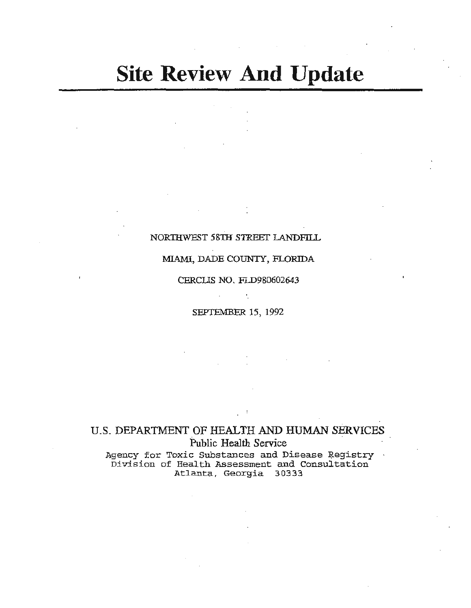# **Site Review And Update**

### NOR'IHWEST 58TH *STREET* LANDFilL

### MIAMI, DADE COUNTY, FLORIDA

### CERCUS NO. FI.D980602643

SEPTEMBER 15, 1992

ŕ.

## U.S. DEPARTMENT OF HEALTH AND HUMAN SERVICES Public Health Service

Agency for Toxic Substances and Disease Registry Division of Health Assessment and Consultation Atlanta, Georgia 30333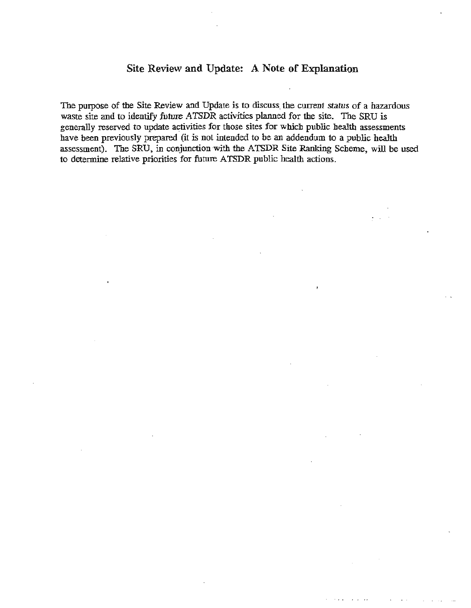### Site Review and Update: A Note of Explanation

The purpose of the Site Review and Update is to discuss the current status of a hazardous waste site and to identify future ATSDR activities planned for the site. The SRU is generally reserved to update activities for those sites for which public health assessments have been previously prepared (it is not intended to be an addendum to a public health assessment). The SRU, in conjunction with the ATSDR Site Ranking Scheme, will be used to determine relative priorities for future ATSDR public health actions.

 $\sim$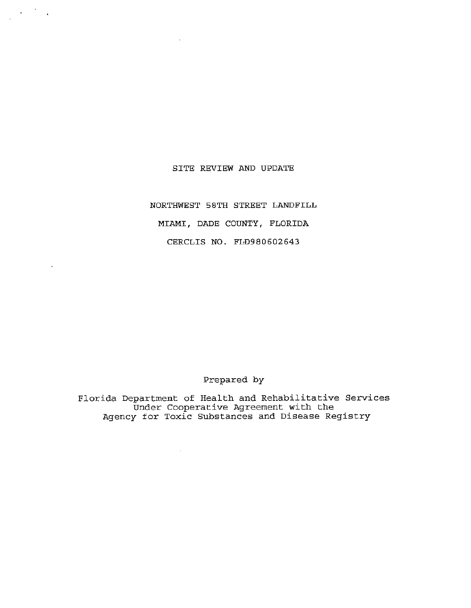### SITE REVIEW AND UPDATE

 $\frac{1}{\sqrt{2}}\left(\frac{1}{\sqrt{2}}\right)^{1/2}\frac{1}{\sqrt{2}}\left(\frac{1}{\sqrt{2}}\right)^{1/2}$ 

NORTHWEST 58TH STREET LANDFILL MIAMI, DADE COUNTY, FLORIDA CERCLIS NO. FLD980602643

### Prepared by

Florida Department of Health and Rehabilitative Services Under Cooperative Agreement with the Agency for Toxic Substances and Disease Registry

 $\mathbb{Z}$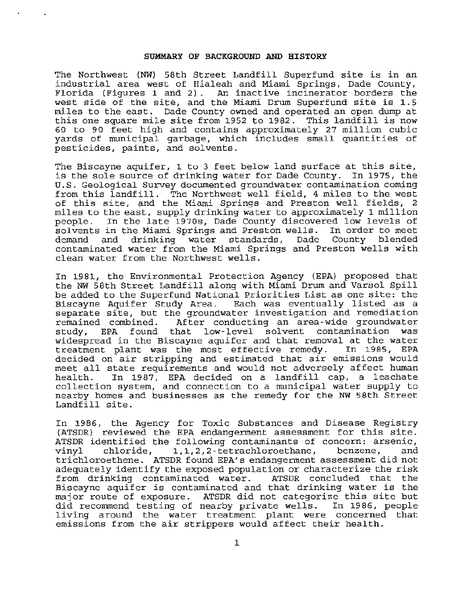#### **SUMMARY OF BACKGROUND AND HISTORY**

The Northwest (NW) 58th Street Landfill Superfund site is in an industrial area west of Hialeah and Miami Springs, Dade County, Florida (Figures 1 and 2). An inactive incinerator borders the west side of the site, and the Miami Drum Superfund site is 1.5 miles to the east. Dade County owned and operated an open dump at this one square mile site from 1952 to 1982. This landfill is now 60 to 90 feet high and contains approximately 27 million cubic yards of municipal garbage, which includes small quantities of pesticides, paints, and solvents.

The Biscayne aquifer, 1 to 3 feet below land surface at this site, is the sole source of drinking water for Dade County. In 1975, the U.S . Geological Survey documented groundwater contamination coming from this landfill. The Northwest well field, 4 miles to the west of this site, and the Miami Springs and Preston well fields, 2 miles to the east, supply drinking water to approximately 1 million In the late 1970s, Dade County discovered low levels of solvents in the Miami Springs and Preston wells. In order to meet<br>demand and drinking water standards, Dade County blended water standards, Dade County blended contaminated water from the Miami Springs and Preston wells with clean water from the Northwest wells.

In 1981, the Environmental Protection Agency (EPA) proposed that the NW 58th Street Landfill along with Miami Drum and Varsol Spill be added to the Superfund National Priorities List as one site: the Biscayne Aquifer Study Area. Each was eventually listed as a separate site, but the groundwater investigation and remediation<br>remained combined. After conducting an area-wide groundwater remained combined. After conducting an area-wide groundwater<br>study, EPA found that low-level solvent contamination was EPA found that low-level solvent contamination widespread in the Biscayne aquifer and that removal at the water<br>treatment plant was the most effective remedy. In 1985, EPA treatment plant was the most effective remedy. decided on air stripping and estimated that air emissions would meet all state requirements and would not adversely affect human<br>health. In 1987, EPA decided on a landfill cap, a leachate In 1987, EPA decided on a landfill cap, a leachate collection system, and connection to a municipal water supply to nearby homes and businesses as the remedy for the NW 58th Street Landfill site.

In 1986, the Agency for Toxic Substances and Disease Registry (ATSDR) reviewed the EPA endangerment assessment for this site. ATSDR identified the following contaminants of concern: arsenic,<br>vinyl chloride, 1,1,2,2-tetrachloroethane, benzene, and 1,1,2,2-tetrachloroethane, trichloroethene. ATSDR found EPA's endangerment assessment did not adequately identify the exposed population or characterize the risk<br>from drinking contaminated water. ATSDR concluded that the from drinking contaminated water. Biscayne aquifer is contaminated and that drinking water is the major route of exposure. ATSDR did not categorize this site but did recommend testing of nearby private wells. living around the water treatment plant were concerned that emissions from the air strippers would affect their health.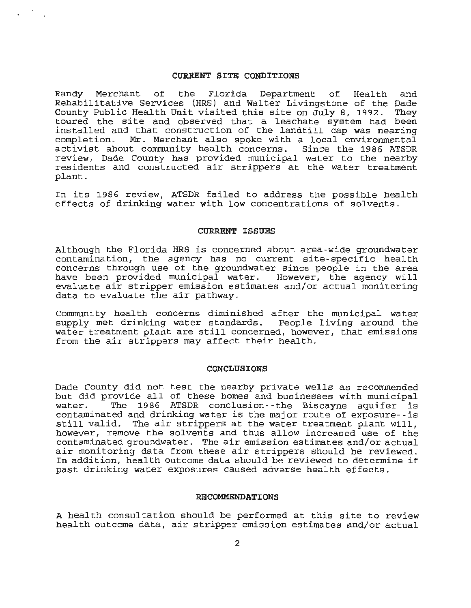#### CURRENT SITE CONDITIONS

Randy Merchant of the Florida Department of Health and Rehabilitative Services (HRS) and Walter Livingstone of the Dade County Public Health Unit visited this site on July 8, 1992. They toured the site and observed that a leachate system had been installed and that construction of the landfill cap was nearing<br>completion. Mr. Merchant also spoke with a local environmental Mr. Merchant also spoke with a local environmental activist about community health concerns. Since the 1986 ATSDR review, Dade County has provided municipal water to the nearby residents and constructed air strippers at the water treatment plant.

In its 1986 review, ATSDR failed to address the possible health effects of drinking water with low concentrations of solvents.

### CURRENT ISSUES

Although the Florida HRS is concerned about area-wide groundwater contamination, the agency has no current site-specific health concerns through use of the groundwater since people in the area have been provided municipal water. However, the agency will evaluate air stripper emission estimates and/or actual monitoring data to evaluate the air pathway.

Community health concerns diminished after the municipal water supply met drinking water standards. People living around the water treatment plant are still concerned, however, that emissions from the air strippers may affect their health.

#### CONCLUSIONS

Dade County did not test the nearby private wells as recommended but did provide all of these homes and businesses with municipal<br>water. The 1986 ATSDR conclusion--the Biscayne aquifer is The 1986 ATSDR conclusion--the Biscayne aquifer is contaminated and drinking water is the major route of exposure- - is still valid. The air strippers at the water treatment plant will, however, remove the solvents and thus allow increased use of the contaminated groundwater. The air emission estimates and/or actual air monitoring data from these air strippers should be reviewed. In addition, health outcome data should be reviewed to determine if past drinking water exposures caused adverse health effects.

#### RECOMMENDATIONS

A health consultation should be performed at this site to review health outcome data, air stripper emission estimates and/or actual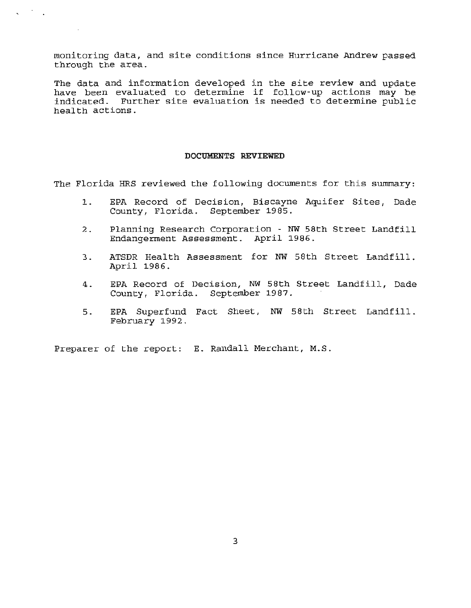monitoring data, and site conditions since Hurricane Andrew passed through the area.

 $\zeta = 1/\sqrt{2}$ 

The data and information developed in the site review and update have been evaluated to determine if follow-up actions may be indicated. Further site evaluation is needed to determine public health actions.

### **DOCUMENTS REVIEWED**

The Florida HRS reviewed the following documents for this summary:

- 1. EPA Record of Decision, Biscayne Aquifer Sites, Dade County, Florida. September 1985.
- 2. Planning Research Corporation NW 58th Street Landfill Endangerment Assessment. April 1986.
- 3. ATSDR Health Assessment for NW 58th Street Landfill. April 1986.
- 4. EPA Record of Decision, NW 58th Street Landfill, Dade County, Florida. September 1987.
- 5. EPA Superfund Fact Sheet, NW 58th Street Landfill. February 1992.

Preparer of the report: E. Randall Merchant, M.S.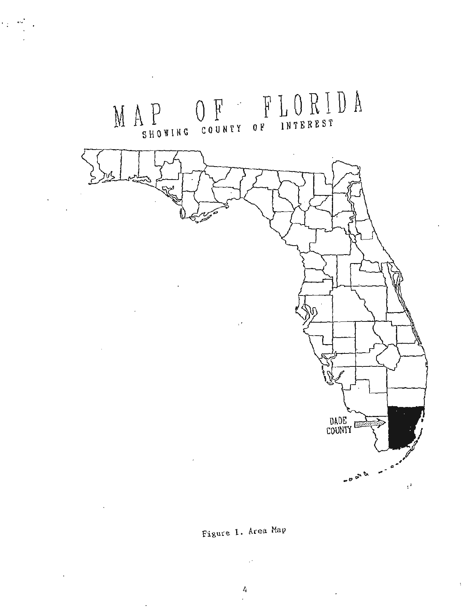

 $\cdot$  .

 $\ddot{\phantom{a}}$ 

 $\cdot$ 

Figure 1. Area Map

 $\ddot{\phantom{0}}$ 

 $\mathbb{R}^3$ 

 $\colon$